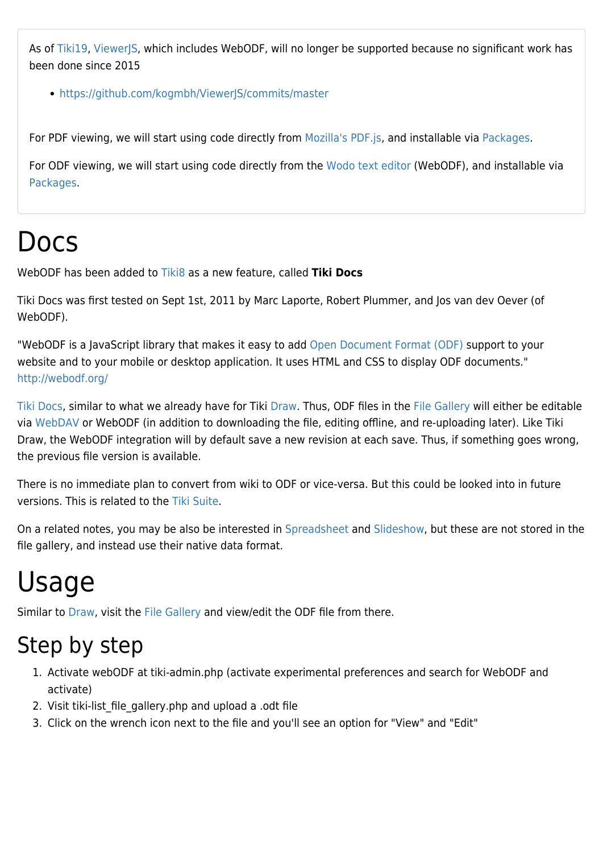As of [Tiki19](https://doc.tiki.org/Tiki19), [ViewerJS,](https://doc.tiki.org/ViewerJS) which includes WebODF, will no longer be supported because no significant work has been done since 2015

• <https://github.com/kogmbh/ViewerJS/commits/master>

For PDF viewing, we will start using code directly from [Mozilla's PDF.js,](https://github.com/mozilla/pdf.js) and installable via [Packages](https://doc.tiki.org/Packages).

For ODF viewing, we will start using code directly from the [Wodo text editor](https://asset-packagist.org/package/detail?fullname=bower-asset/wodo.texteditor) (WebODF), and installable via [Packages.](https://doc.tiki.org/Packages)

#### Docs

WebODF has been added to [Tiki8](https://doc.tiki.org/Tiki8) as a new feature, called **Tiki Docs**

Tiki Docs was first tested on Sept 1st, 2011 by Marc Laporte, Robert Plummer, and Jos van dev Oever (of WebODF).

"WebODF is a JavaScript library that makes it easy to add [Open Document Format \(ODF\)](http://en.wikipedia.org/wiki/OpenDocument) support to your website and to your mobile or desktop application. It uses HTML and CSS to display ODF documents." <http://webodf.org/>

[Tiki Docs,](https://doc.tiki.org/Docs) similar to what we already have for Tiki [Draw](https://doc.tiki.org/Draw). Thus, ODF files in the [File Gallery](https://doc.tiki.org/File-Gallery) will either be editable via [WebDAV](https://doc.tiki.org/WebDAV) or WebODF (in addition to downloading the file, editing offline, and re-uploading later). Like Tiki Draw, the WebODF integration will by default save a new revision at each save. Thus, if something goes wrong, the previous file version is available.

There is no immediate plan to convert from wiki to ODF or vice-versa. But this could be looked into in future versions. This is related to the [Tiki Suite.](http://suite.tiki.org/)

On a related notes, you may be also be interested in [Spreadsheet](https://doc.tiki.org/Spreadsheet) and [Slideshow,](https://doc.tiki.org/Slideshow) but these are not stored in the file gallery, and instead use their native data format.

#### Usage

Similar to [Draw](https://doc.tiki.org/Draw), visit the [File Gallery](https://doc.tiki.org/File-Gallery) and view/edit the ODF file from there.

#### Step by step

- 1. Activate webODF at tiki-admin.php (activate experimental preferences and search for WebODF and activate)
- 2. Visit tiki-list file gallery.php and upload a .odt file
- 3. Click on the wrench icon next to the file and you'll see an option for "View" and "Edit"